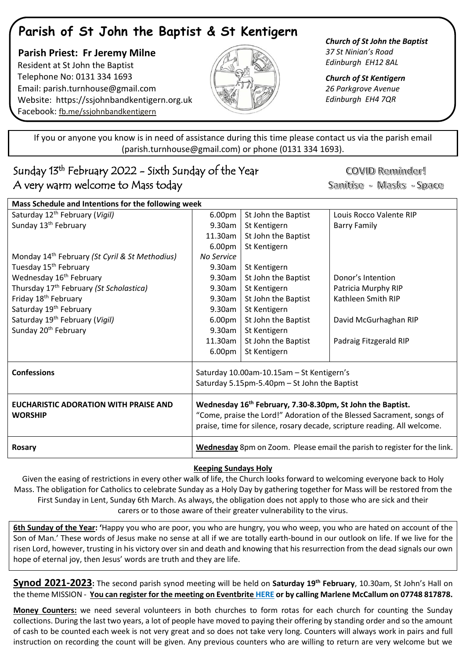# **Parish of St John the Baptist & St Kentigern**

 **Parish Priest: Fr Jeremy Milne** Resident at St John the Baptist Telephone No: 0131 334 1693 Email: [parish.turnhouse@gmail.com](mailto:parish.turnhouse@gmail.com)  Website: [https://ssjohnbandkentigern.org.uk](https://ssjohnbandkentigern.org.uk/) Facebook: [fb.me/ssjohnbandkentigern](https://fb.me/ssjohnbandkentigern)



*Church of St John the Baptist 37 St Ninian's Road Edinburgh EH12 8AL*

*Church of St Kentigern 26 Parkgrove Avenue Edinburgh EH4 7QR*

֡֡֡֡֡ If you or anyone you know is in need of assistance during this time please contact us via the parish email (parish.turnhouse@gmail.com) or phone (0131 334 1693).

## I Sunday 13th February 2022 - Sixth Sunday of the Year A very warm welcome to Mass today

COVID Reminder! Sanitise - Masks - Space

| Mass Schedule and Intentions for the following week        |                                                                                                                                                                                                                             |                     |                         |
|------------------------------------------------------------|-----------------------------------------------------------------------------------------------------------------------------------------------------------------------------------------------------------------------------|---------------------|-------------------------|
| Saturday 12 <sup>th</sup> February (Vigil)                 | 6.00pm                                                                                                                                                                                                                      | St John the Baptist | Louis Rocco Valente RIP |
| Sunday 13 <sup>th</sup> February                           | 9.30am                                                                                                                                                                                                                      | St Kentigern        | <b>Barry Family</b>     |
|                                                            | 11.30am                                                                                                                                                                                                                     | St John the Baptist |                         |
|                                                            | 6.00pm                                                                                                                                                                                                                      | St Kentigern        |                         |
| Monday 14 <sup>th</sup> February (St Cyril & St Methodius) | No Service                                                                                                                                                                                                                  |                     |                         |
| Tuesday 15 <sup>th</sup> February                          | 9.30am                                                                                                                                                                                                                      | St Kentigern        |                         |
| Wednesday 16 <sup>th</sup> February                        | 9.30am                                                                                                                                                                                                                      | St John the Baptist | Donor's Intention       |
| Thursday 17 <sup>th</sup> February (St Scholastica)        | 9.30am                                                                                                                                                                                                                      | St Kentigern        | Patricia Murphy RIP     |
| Friday 18 <sup>th</sup> February                           | 9.30am                                                                                                                                                                                                                      | St John the Baptist | Kathleen Smith RIP      |
| Saturday 19 <sup>th</sup> February                         | 9.30am                                                                                                                                                                                                                      | St Kentigern        |                         |
| Saturday 19 <sup>th</sup> February (Vigil)                 | 6.00pm                                                                                                                                                                                                                      | St John the Baptist | David McGurhaghan RIP   |
| Sunday 20 <sup>th</sup> February                           | 9.30am                                                                                                                                                                                                                      | St Kentigern        |                         |
|                                                            | 11.30am                                                                                                                                                                                                                     | St John the Baptist | Padraig Fitzgerald RIP  |
|                                                            | 6.00pm                                                                                                                                                                                                                      | St Kentigern        |                         |
| <b>Confessions</b>                                         | Saturday 10.00am-10.15am - St Kentigern's<br>Saturday 5.15pm-5.40pm - St John the Baptist                                                                                                                                   |                     |                         |
|                                                            |                                                                                                                                                                                                                             |                     |                         |
| EUCHARISTIC ADORATION WITH PRAISE AND<br><b>WORSHIP</b>    | Wednesday 16 <sup>th</sup> February, 7.30-8.30pm, St John the Baptist.<br>"Come, praise the Lord!" Adoration of the Blessed Sacrament, songs of<br>praise, time for silence, rosary decade, scripture reading. All welcome. |                     |                         |
| <b>Rosary</b>                                              | Wednesday 8pm on Zoom. Please email the parish to register for the link.                                                                                                                                                    |                     |                         |

## **Keeping Sundays Holy**

Given the easing of restrictions in every other walk of life, the Church looks forward to welcoming everyone back to Holy Mass. The obligation for Catholics to celebrate Sunday as a Holy Day by gathering together for Mass will be restored from the First Sunday in Lent, Sunday 6th March. As always, the obligation does not apply to those who are sick and their carers or to those aware of their greater vulnerability to the virus.

**6th Sunday of the Year: '**Happy you who are poor, you who are hungry, you who weep, you who are hated on account of the Son of Man.' These words of Jesus make no sense at all if we are totally earth-bound in our outlook on life. If we live for the risen Lord, however, trusting in his victory over sin and death and knowing that his resurrection from the dead signals our own hope of eternal joy, then Jesus' words are truth and they are life.

**Synod 2021-2023:** The second parish synod meeting will be held on **Saturday 19th February**, 10.30am, St John's Hall on the theme MISSION - **You can register for the meeting on Eventbrite [HERE](https://www.eventbrite.co.uk/e/parish-synod-meeting-tickets-212714754557) or by calling Marlene McCallum on 07748 817878.**

**Money Counters:** we need several volunteers in both churches to form rotas for each church for counting the Sunday collections. During the last two years, a lot of people have moved to paying their offering by standing order and so the amount of cash to be counted each week is not very great and so does not take very long. Counters will always work in pairs and full instruction on recording the count will be given. Any previous counters who are willing to return are very welcome but we